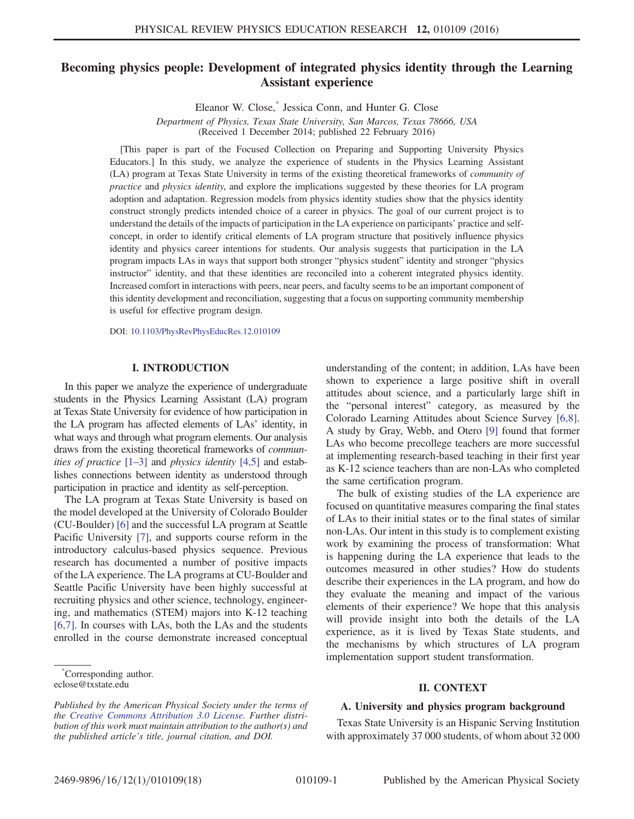# Becoming physics people: Development of integrated physics identity through the Learning Assistant experience

Eleanor W. Close[,\\*](#page-0-0) Jessica Conn, and Hunter G. Close

<span id="page-0-1"></span>Department of Physics, Texas State University, San Marcos, Texas 78666, USA (Received 1 December 2014; published 22 February 2016)

[This paper is part of the Focused Collection on Preparing and Supporting University Physics Educators.] In this study, we analyze the experience of students in the Physics Learning Assistant (LA) program at Texas State University in terms of the existing theoretical frameworks of community of practice and physics identity, and explore the implications suggested by these theories for LA program adoption and adaptation. Regression models from physics identity studies show that the physics identity construct strongly predicts intended choice of a career in physics. The goal of our current project is to understand the details of the impacts of participation in the LA experience on participants' practice and selfconcept, in order to identify critical elements of LA program structure that positively influence physics identity and physics career intentions for students. Our analysis suggests that participation in the LA program impacts LAs in ways that support both stronger "physics student" identity and stronger "physics instructor" identity, and that these identities are reconciled into a coherent integrated physics identity. Increased comfort in interactions with peers, near peers, and faculty seems to be an important component of this identity development and reconciliation, suggesting that a focus on supporting community membership is useful for effective program design.

DOI: [10.1103/PhysRevPhysEducRes.12.010109](http://dx.doi.org/10.1103/PhysRevPhysEducRes.12.010109)

#### I. INTRODUCTION

In this paper we analyze the experience of undergraduate students in the Physics Learning Assistant (LA) program at Texas State University for evidence of how participation in the LA program has affected elements of LAs' identity, in what ways and through what program elements. Our analysis draws from the existing theoretical frameworks of communities of practice  $[1-3]$  $[1-3]$  and physics identity  $[4,5]$  and establishes connections between identity as understood through participation in practice and identity as self-perception.

The LA program at Texas State University is based on the model developed at the University of Colorado Boulder (CU-Boulder) [\[6\]](#page-17-0) and the successful LA program at Seattle Pacific University [\[7\],](#page-17-1) and supports course reform in the introductory calculus-based physics sequence. Previous research has documented a number of positive impacts of the LA experience. The LA programs at CU-Boulder and Seattle Pacific University have been highly successful at recruiting physics and other science, technology, engineering, and mathematics (STEM) majors into K-12 teaching [\[6,7\].](#page-17-0) In courses with LAs, both the LAs and the students enrolled in the course demonstrate increased conceptual

<span id="page-0-0"></span>[\\*](#page-0-1) Corresponding author. eclose@txstate.edu

understanding of the content; in addition, LAs have been shown to experience a large positive shift in overall attitudes about science, and a particularly large shift in the "personal interest" category, as measured by the Colorado Learning Attitudes about Science Survey [\[6,8\]](#page-17-0). A study by Gray, Webb, and Otero [\[9\]](#page-17-2) found that former LAs who become precollege teachers are more successful at implementing research-based teaching in their first year as K-12 science teachers than are non-LAs who completed the same certification program.

The bulk of existing studies of the LA experience are focused on quantitative measures comparing the final states of LAs to their initial states or to the final states of similar non-LAs. Our intent in this study is to complement existing work by examining the process of transformation: What is happening during the LA experience that leads to the outcomes measured in other studies? How do students describe their experiences in the LA program, and how do they evaluate the meaning and impact of the various elements of their experience? We hope that this analysis will provide insight into both the details of the LA experience, as it is lived by Texas State students, and the mechanisms by which structures of LA program implementation support student transformation.

### II. CONTEXT

#### A. University and physics program background

Texas State University is an Hispanic Serving Institution with approximately 37 000 students, of whom about 32 000

Published by the American Physical Society under the terms of the [Creative Commons Attribution 3.0 License.](http://creativecommons.org/licenses/by/3.0/) Further distribution of this work must maintain attribution to the author(s) and the published article's title, journal citation, and DOI.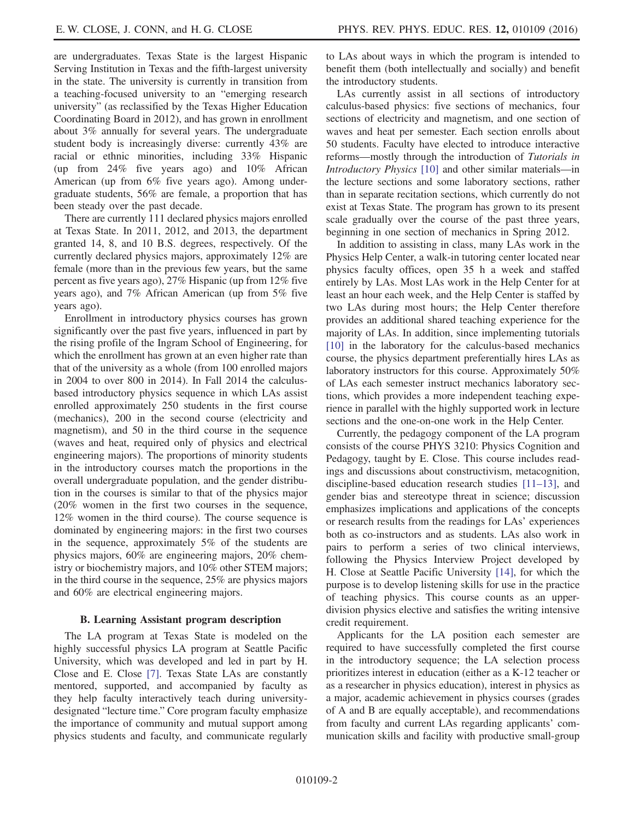are undergraduates. Texas State is the largest Hispanic Serving Institution in Texas and the fifth-largest university in the state. The university is currently in transition from a teaching-focused university to an "emerging research university" (as reclassified by the Texas Higher Education Coordinating Board in 2012), and has grown in enrollment about 3% annually for several years. The undergraduate student body is increasingly diverse: currently 43% are racial or ethnic minorities, including 33% Hispanic (up from 24% five years ago) and 10% African American (up from 6% five years ago). Among undergraduate students, 56% are female, a proportion that has been steady over the past decade.

There are currently 111 declared physics majors enrolled at Texas State. In 2011, 2012, and 2013, the department granted 14, 8, and 10 B.S. degrees, respectively. Of the currently declared physics majors, approximately 12% are female (more than in the previous few years, but the same percent as five years ago), 27% Hispanic (up from 12% five years ago), and 7% African American (up from 5% five years ago).

Enrollment in introductory physics courses has grown significantly over the past five years, influenced in part by the rising profile of the Ingram School of Engineering, for which the enrollment has grown at an even higher rate than that of the university as a whole (from 100 enrolled majors in 2004 to over 800 in 2014). In Fall 2014 the calculusbased introductory physics sequence in which LAs assist enrolled approximately 250 students in the first course (mechanics), 200 in the second course (electricity and magnetism), and 50 in the third course in the sequence (waves and heat, required only of physics and electrical engineering majors). The proportions of minority students in the introductory courses match the proportions in the overall undergraduate population, and the gender distribution in the courses is similar to that of the physics major (20% women in the first two courses in the sequence, 12% women in the third course). The course sequence is dominated by engineering majors: in the first two courses in the sequence, approximately 5% of the students are physics majors, 60% are engineering majors, 20% chemistry or biochemistry majors, and 10% other STEM majors; in the third course in the sequence, 25% are physics majors and 60% are electrical engineering majors.

### B. Learning Assistant program description

The LA program at Texas State is modeled on the highly successful physics LA program at Seattle Pacific University, which was developed and led in part by H. Close and E. Close [\[7\].](#page-17-1) Texas State LAs are constantly mentored, supported, and accompanied by faculty as they help faculty interactively teach during universitydesignated "lecture time." Core program faculty emphasize the importance of community and mutual support among physics students and faculty, and communicate regularly to LAs about ways in which the program is intended to benefit them (both intellectually and socially) and benefit the introductory students.

LAs currently assist in all sections of introductory calculus-based physics: five sections of mechanics, four sections of electricity and magnetism, and one section of waves and heat per semester. Each section enrolls about 50 students. Faculty have elected to introduce interactive reforms—mostly through the introduction of Tutorials in Introductory Physics [\[10\]](#page-17-3) and other similar materials—in the lecture sections and some laboratory sections, rather than in separate recitation sections, which currently do not exist at Texas State. The program has grown to its present scale gradually over the course of the past three years, beginning in one section of mechanics in Spring 2012.

In addition to assisting in class, many LAs work in the Physics Help Center, a walk-in tutoring center located near physics faculty offices, open 35 h a week and staffed entirely by LAs. Most LAs work in the Help Center for at least an hour each week, and the Help Center is staffed by two LAs during most hours; the Help Center therefore provides an additional shared teaching experience for the majority of LAs. In addition, since implementing tutorials [\[10\]](#page-17-3) in the laboratory for the calculus-based mechanics course, the physics department preferentially hires LAs as laboratory instructors for this course. Approximately 50% of LAs each semester instruct mechanics laboratory sections, which provides a more independent teaching experience in parallel with the highly supported work in lecture sections and the one-on-one work in the Help Center.

Currently, the pedagogy component of the LA program consists of the course PHYS 3210: Physics Cognition and Pedagogy, taught by E. Close. This course includes readings and discussions about constructivism, metacognition, discipline-based education research studies [11–[13\],](#page-17-4) and gender bias and stereotype threat in science; discussion emphasizes implications and applications of the concepts or research results from the readings for LAs' experiences both as co-instructors and as students. LAs also work in pairs to perform a series of two clinical interviews, following the Physics Interview Project developed by H. Close at Seattle Pacific University [\[14\]](#page-17-5), for which the purpose is to develop listening skills for use in the practice of teaching physics. This course counts as an upperdivision physics elective and satisfies the writing intensive credit requirement.

Applicants for the LA position each semester are required to have successfully completed the first course in the introductory sequence; the LA selection process prioritizes interest in education (either as a K-12 teacher or as a researcher in physics education), interest in physics as a major, academic achievement in physics courses (grades of A and B are equally acceptable), and recommendations from faculty and current LAs regarding applicants' communication skills and facility with productive small-group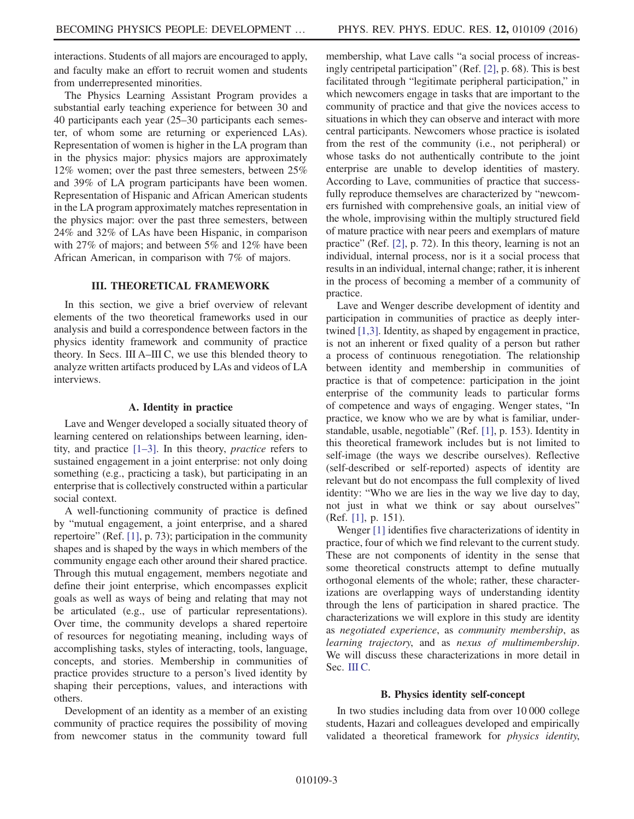interactions. Students of all majors are encouraged to apply, and faculty make an effort to recruit women and students from underrepresented minorities.

The Physics Learning Assistant Program provides a substantial early teaching experience for between 30 and 40 participants each year (25–30 participants each semester, of whom some are returning or experienced LAs). Representation of women is higher in the LA program than in the physics major: physics majors are approximately 12% women; over the past three semesters, between 25% and 39% of LA program participants have been women. Representation of Hispanic and African American students in the LA program approximately matches representation in the physics major: over the past three semesters, between 24% and 32% of LAs have been Hispanic, in comparison with 27% of majors; and between 5% and 12% have been African American, in comparison with 7% of majors.

# III. THEORETICAL FRAMEWORK

<span id="page-2-0"></span>In this section, we give a brief overview of relevant elements of the two theoretical frameworks used in our analysis and build a correspondence between factors in the physics identity framework and community of practice theory. In Secs. III A–III C, we use this blended theory to analyze written artifacts produced by LAs and videos of LA interviews.

#### A. Identity in practice

<span id="page-2-1"></span>Lave and Wenger developed a socially situated theory of learning centered on relationships between learning, identity, and practice [1–[3\].](#page-16-0) In this theory, practice refers to sustained engagement in a joint enterprise: not only doing something (e.g., practicing a task), but participating in an enterprise that is collectively constructed within a particular social context.

A well-functioning community of practice is defined by "mutual engagement, a joint enterprise, and a shared repertoire" (Ref. [\[1\],](#page-16-0) p. 73); participation in the community shapes and is shaped by the ways in which members of the community engage each other around their shared practice. Through this mutual engagement, members negotiate and define their joint enterprise, which encompasses explicit goals as well as ways of being and relating that may not be articulated (e.g., use of particular representations). Over time, the community develops a shared repertoire of resources for negotiating meaning, including ways of accomplishing tasks, styles of interacting, tools, language, concepts, and stories. Membership in communities of practice provides structure to a person's lived identity by shaping their perceptions, values, and interactions with others.

Development of an identity as a member of an existing community of practice requires the possibility of moving from newcomer status in the community toward full

membership, what Lave calls "a social process of increasingly centripetal participation" (Ref. [\[2\]](#page-16-2), p. 68). This is best facilitated through "legitimate peripheral participation," in which newcomers engage in tasks that are important to the community of practice and that give the novices access to situations in which they can observe and interact with more central participants. Newcomers whose practice is isolated from the rest of the community (i.e., not peripheral) or whose tasks do not authentically contribute to the joint enterprise are unable to develop identities of mastery. According to Lave, communities of practice that successfully reproduce themselves are characterized by "newcomers furnished with comprehensive goals, an initial view of the whole, improvising within the multiply structured field of mature practice with near peers and exemplars of mature practice" (Ref. [\[2\]](#page-16-2), p. 72). In this theory, learning is not an individual, internal process, nor is it a social process that results in an individual, internal change; rather, it is inherent in the process of becoming a member of a community of practice.

Lave and Wenger describe development of identity and participation in communities of practice as deeply intertwined [\[1,3\]](#page-16-0). Identity, as shaped by engagement in practice, is not an inherent or fixed quality of a person but rather a process of continuous renegotiation. The relationship between identity and membership in communities of practice is that of competence: participation in the joint enterprise of the community leads to particular forms of competence and ways of engaging. Wenger states, "In practice, we know who we are by what is familiar, understandable, usable, negotiable" (Ref. [\[1\]](#page-16-0), p. 153). Identity in this theoretical framework includes but is not limited to self-image (the ways we describe ourselves). Reflective (self-described or self-reported) aspects of identity are relevant but do not encompass the full complexity of lived identity: "Who we are lies in the way we live day to day, not just in what we think or say about ourselves" (Ref. [\[1\],](#page-16-0) p. 151).

Wenger [\[1\]](#page-16-0) identifies five characterizations of identity in practice, four of which we find relevant to the current study. These are not components of identity in the sense that some theoretical constructs attempt to define mutually orthogonal elements of the whole; rather, these characterizations are overlapping ways of understanding identity through the lens of participation in shared practice. The characterizations we will explore in this study are identity as negotiated experience, as community membership, as learning trajectory, and as nexus of multimembership. We will discuss these characterizations in more detail in Sec. [III C](#page-3-0).

### B. Physics identity self-concept

In two studies including data from over 10 000 college students, Hazari and colleagues developed and empirically validated a theoretical framework for *physics identity*,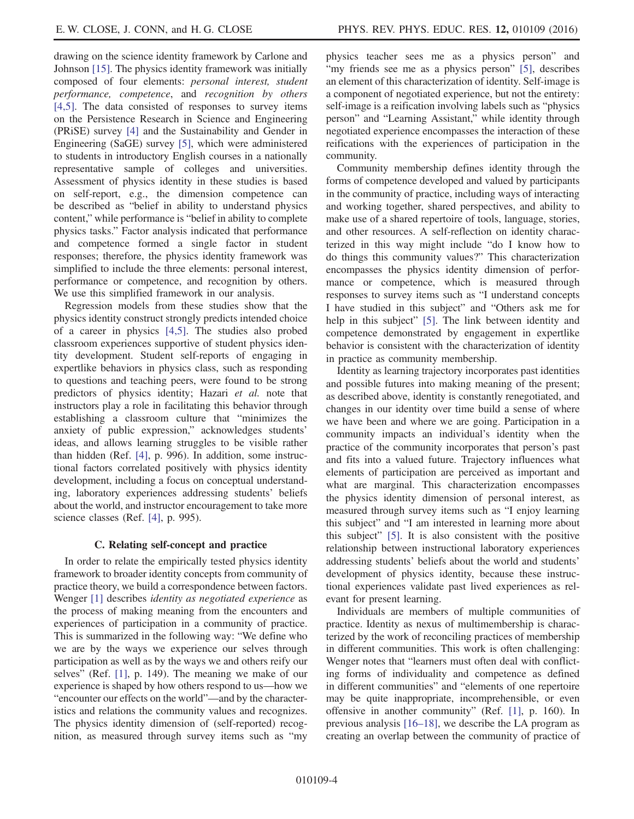drawing on the science identity framework by Carlone and Johnson [\[15\]](#page-17-6). The physics identity framework was initially composed of four elements: personal interest, student performance, competence, and recognition by others [\[4,5\].](#page-16-1) The data consisted of responses to survey items on the Persistence Research in Science and Engineering (PRiSE) survey [\[4\]](#page-16-1) and the Sustainability and Gender in Engineering (SaGE) survey [\[5\]](#page-17-7), which were administered to students in introductory English courses in a nationally representative sample of colleges and universities. Assessment of physics identity in these studies is based on self-report, e.g., the dimension competence can be described as "belief in ability to understand physics content," while performance is "belief in ability to complete physics tasks." Factor analysis indicated that performance and competence formed a single factor in student responses; therefore, the physics identity framework was simplified to include the three elements: personal interest, performance or competence, and recognition by others. We use this simplified framework in our analysis.

Regression models from these studies show that the physics identity construct strongly predicts intended choice of a career in physics [\[4,5\].](#page-16-1) The studies also probed classroom experiences supportive of student physics identity development. Student self-reports of engaging in expertlike behaviors in physics class, such as responding to questions and teaching peers, were found to be strong predictors of physics identity; Hazari et al. note that instructors play a role in facilitating this behavior through establishing a classroom culture that "minimizes the anxiety of public expression," acknowledges students' ideas, and allows learning struggles to be visible rather than hidden (Ref. [\[4\],](#page-16-1) p. 996). In addition, some instructional factors correlated positively with physics identity development, including a focus on conceptual understanding, laboratory experiences addressing students' beliefs about the world, and instructor encouragement to take more science classes (Ref. [\[4\]](#page-16-1), p. 995).

# C. Relating self-concept and practice

<span id="page-3-0"></span>In order to relate the empirically tested physics identity framework to broader identity concepts from community of practice theory, we build a correspondence between factors. Wenger [\[1\]](#page-16-0) describes *identity as negotiated experience* as the process of making meaning from the encounters and experiences of participation in a community of practice. This is summarized in the following way: "We define who we are by the ways we experience our selves through participation as well as by the ways we and others reify our selves" (Ref. [\[1\],](#page-16-0) p. 149). The meaning we make of our experience is shaped by how others respond to us—how we "encounter our effects on the world"—and by the characteristics and relations the community values and recognizes. The physics identity dimension of (self-reported) recognition, as measured through survey items such as "my

physics teacher sees me as a physics person" and "my friends see me as a physics person" [\[5\]](#page-17-7), describes an element of this characterization of identity. Self-image is a component of negotiated experience, but not the entirety: self-image is a reification involving labels such as "physics person" and "Learning Assistant," while identity through negotiated experience encompasses the interaction of these reifications with the experiences of participation in the community.

Community membership defines identity through the forms of competence developed and valued by participants in the community of practice, including ways of interacting and working together, shared perspectives, and ability to make use of a shared repertoire of tools, language, stories, and other resources. A self-reflection on identity characterized in this way might include "do I know how to do things this community values?" This characterization encompasses the physics identity dimension of performance or competence, which is measured through responses to survey items such as "I understand concepts I have studied in this subject" and "Others ask me for help in this subject" [\[5\].](#page-17-7) The link between identity and competence demonstrated by engagement in expertlike behavior is consistent with the characterization of identity in practice as community membership.

Identity as learning trajectory incorporates past identities and possible futures into making meaning of the present; as described above, identity is constantly renegotiated, and changes in our identity over time build a sense of where we have been and where we are going. Participation in a community impacts an individual's identity when the practice of the community incorporates that person's past and fits into a valued future. Trajectory influences what elements of participation are perceived as important and what are marginal. This characterization encompasses the physics identity dimension of personal interest, as measured through survey items such as "I enjoy learning this subject" and "I am interested in learning more about this subject" [\[5\]](#page-17-7). It is also consistent with the positive relationship between instructional laboratory experiences addressing students' beliefs about the world and students' development of physics identity, because these instructional experiences validate past lived experiences as relevant for present learning.

Individuals are members of multiple communities of practice. Identity as nexus of multimembership is characterized by the work of reconciling practices of membership in different communities. This work is often challenging: Wenger notes that "learners must often deal with conflicting forms of individuality and competence as defined in different communities" and "elements of one repertoire may be quite inappropriate, incomprehensible, or even offensive in another community" (Ref. [\[1\]](#page-16-0), p. 160). In previous analysis [16–[18\],](#page-17-8) we describe the LA program as creating an overlap between the community of practice of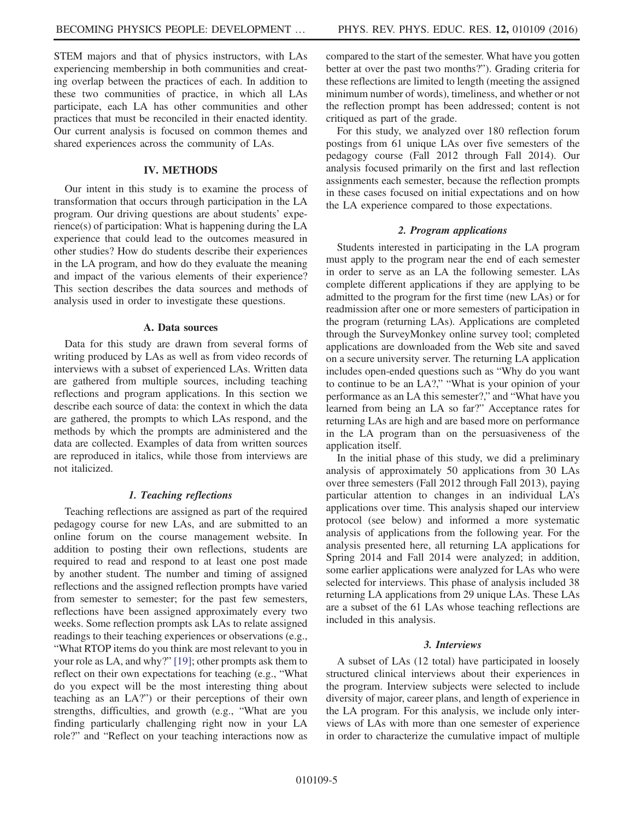STEM majors and that of physics instructors, with LAs experiencing membership in both communities and creating overlap between the practices of each. In addition to these two communities of practice, in which all LAs participate, each LA has other communities and other practices that must be reconciled in their enacted identity. Our current analysis is focused on common themes and shared experiences across the community of LAs.

### IV. METHODS

Our intent in this study is to examine the process of transformation that occurs through participation in the LA program. Our driving questions are about students' experience(s) of participation: What is happening during the LA experience that could lead to the outcomes measured in other studies? How do students describe their experiences in the LA program, and how do they evaluate the meaning and impact of the various elements of their experience? This section describes the data sources and methods of analysis used in order to investigate these questions.

#### A. Data sources

Data for this study are drawn from several forms of writing produced by LAs as well as from video records of interviews with a subset of experienced LAs. Written data are gathered from multiple sources, including teaching reflections and program applications. In this section we describe each source of data: the context in which the data are gathered, the prompts to which LAs respond, and the methods by which the prompts are administered and the data are collected. Examples of data from written sources are reproduced in italics, while those from interviews are not italicized.

# 1. Teaching reflections

Teaching reflections are assigned as part of the required pedagogy course for new LAs, and are submitted to an online forum on the course management website. In addition to posting their own reflections, students are required to read and respond to at least one post made by another student. The number and timing of assigned reflections and the assigned reflection prompts have varied from semester to semester; for the past few semesters, reflections have been assigned approximately every two weeks. Some reflection prompts ask LAs to relate assigned readings to their teaching experiences or observations (e.g., "What RTOP items do you think are most relevant to you in your role as LA, and why?" [\[19\]](#page-17-9); other prompts ask them to reflect on their own expectations for teaching (e.g., "What do you expect will be the most interesting thing about teaching as an LA?") or their perceptions of their own strengths, difficulties, and growth (e.g., "What are you finding particularly challenging right now in your LA role?" and "Reflect on your teaching interactions now as compared to the start of the semester. What have you gotten better at over the past two months?"). Grading criteria for these reflections are limited to length (meeting the assigned minimum number of words), timeliness, and whether or not the reflection prompt has been addressed; content is not critiqued as part of the grade.

For this study, we analyzed over 180 reflection forum postings from 61 unique LAs over five semesters of the pedagogy course (Fall 2012 through Fall 2014). Our analysis focused primarily on the first and last reflection assignments each semester, because the reflection prompts in these cases focused on initial expectations and on how the LA experience compared to those expectations.

#### 2. Program applications

Students interested in participating in the LA program must apply to the program near the end of each semester in order to serve as an LA the following semester. LAs complete different applications if they are applying to be admitted to the program for the first time (new LAs) or for readmission after one or more semesters of participation in the program (returning LAs). Applications are completed through the SurveyMonkey online survey tool; completed applications are downloaded from the Web site and saved on a secure university server. The returning LA application includes open-ended questions such as "Why do you want to continue to be an LA?," "What is your opinion of your performance as an LA this semester?," and "What have you learned from being an LA so far?" Acceptance rates for returning LAs are high and are based more on performance in the LA program than on the persuasiveness of the application itself.

In the initial phase of this study, we did a preliminary analysis of approximately 50 applications from 30 LAs over three semesters (Fall 2012 through Fall 2013), paying particular attention to changes in an individual LA's applications over time. This analysis shaped our interview protocol (see below) and informed a more systematic analysis of applications from the following year. For the analysis presented here, all returning LA applications for Spring 2014 and Fall 2014 were analyzed; in addition, some earlier applications were analyzed for LAs who were selected for interviews. This phase of analysis included 38 returning LA applications from 29 unique LAs. These LAs are a subset of the 61 LAs whose teaching reflections are included in this analysis.

### 3. Interviews

A subset of LAs (12 total) have participated in loosely structured clinical interviews about their experiences in the program. Interview subjects were selected to include diversity of major, career plans, and length of experience in the LA program. For this analysis, we include only interviews of LAs with more than one semester of experience in order to characterize the cumulative impact of multiple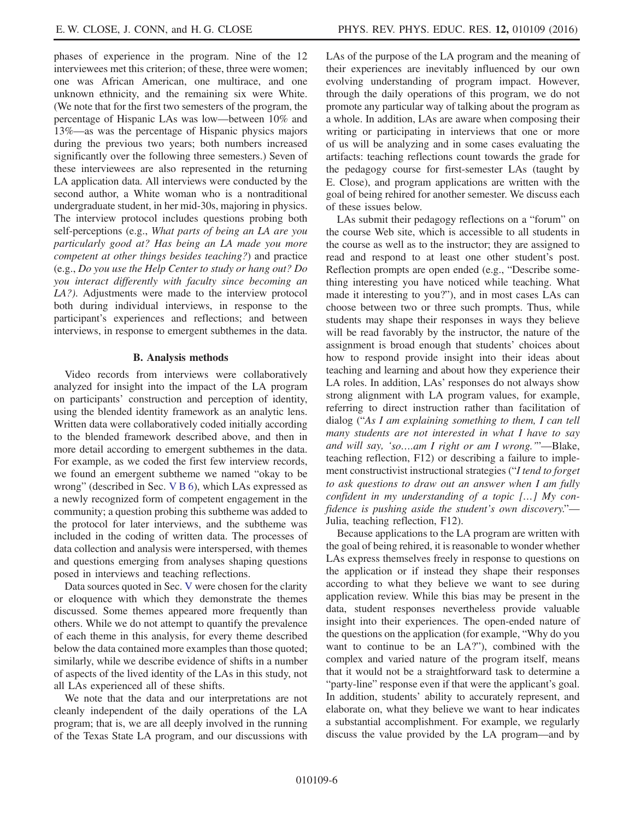phases of experience in the program. Nine of the 12 interviewees met this criterion; of these, three were women; one was African American, one multirace, and one unknown ethnicity, and the remaining six were White. (We note that for the first two semesters of the program, the percentage of Hispanic LAs was low—between 10% and 13%—as was the percentage of Hispanic physics majors during the previous two years; both numbers increased significantly over the following three semesters.) Seven of these interviewees are also represented in the returning LA application data. All interviews were conducted by the second author, a White woman who is a nontraditional undergraduate student, in her mid-30s, majoring in physics. The interview protocol includes questions probing both self-perceptions (e.g., What parts of being an LA are you particularly good at? Has being an LA made you more competent at other things besides teaching?) and practice (e.g., Do you use the Help Center to study or hang out? Do you interact differently with faculty since becoming an LA?). Adjustments were made to the interview protocol both during individual interviews, in response to the participant's experiences and reflections; and between interviews, in response to emergent subthemes in the data.

### B. Analysis methods

Video records from interviews were collaboratively analyzed for insight into the impact of the LA program on participants' construction and perception of identity, using the blended identity framework as an analytic lens. Written data were collaboratively coded initially according to the blended framework described above, and then in more detail according to emergent subthemes in the data. For example, as we coded the first few interview records, we found an emergent subtheme we named "okay to be wrong" (described in Sec.  $V$  B 6), which LAs expressed as a newly recognized form of competent engagement in the community; a question probing this subtheme was added to the protocol for later interviews, and the subtheme was included in the coding of written data. The processes of data collection and analysis were interspersed, with themes and questions emerging from analyses shaping questions posed in interviews and teaching reflections.

Data sources quoted in Sec. [V](#page-6-0) were chosen for the clarity or eloquence with which they demonstrate the themes discussed. Some themes appeared more frequently than others. While we do not attempt to quantify the prevalence of each theme in this analysis, for every theme described below the data contained more examples than those quoted; similarly, while we describe evidence of shifts in a number of aspects of the lived identity of the LAs in this study, not all LAs experienced all of these shifts.

We note that the data and our interpretations are not cleanly independent of the daily operations of the LA program; that is, we are all deeply involved in the running of the Texas State LA program, and our discussions with LAs of the purpose of the LA program and the meaning of their experiences are inevitably influenced by our own evolving understanding of program impact. However, through the daily operations of this program, we do not promote any particular way of talking about the program as a whole. In addition, LAs are aware when composing their writing or participating in interviews that one or more of us will be analyzing and in some cases evaluating the artifacts: teaching reflections count towards the grade for the pedagogy course for first-semester LAs (taught by E. Close), and program applications are written with the goal of being rehired for another semester. We discuss each of these issues below.

LAs submit their pedagogy reflections on a "forum" on the course Web site, which is accessible to all students in the course as well as to the instructor; they are assigned to read and respond to at least one other student's post. Reflection prompts are open ended (e.g., "Describe something interesting you have noticed while teaching. What made it interesting to you?"), and in most cases LAs can choose between two or three such prompts. Thus, while students may shape their responses in ways they believe will be read favorably by the instructor, the nature of the assignment is broad enough that students' choices about how to respond provide insight into their ideas about teaching and learning and about how they experience their LA roles. In addition, LAs' responses do not always show strong alignment with LA program values, for example, referring to direct instruction rather than facilitation of dialog ("As I am explaining something to them, I can tell many students are not interested in what I have to say and will say, 'so….am I right or am I wrong.'"—Blake, teaching reflection, F12) or describing a failure to implement constructivist instructional strategies ("I tend to forget to ask questions to draw out an answer when I am fully confident in my understanding of a topic […] My confidence is pushing aside the student's own discovery."— Julia, teaching reflection, F12).

Because applications to the LA program are written with the goal of being rehired, it is reasonable to wonder whether LAs express themselves freely in response to questions on the application or if instead they shape their responses according to what they believe we want to see during application review. While this bias may be present in the data, student responses nevertheless provide valuable insight into their experiences. The open-ended nature of the questions on the application (for example, "Why do you want to continue to be an LA?"), combined with the complex and varied nature of the program itself, means that it would not be a straightforward task to determine a "party-line" response even if that were the applicant's goal. In addition, students' ability to accurately represent, and elaborate on, what they believe we want to hear indicates a substantial accomplishment. For example, we regularly discuss the value provided by the LA program—and by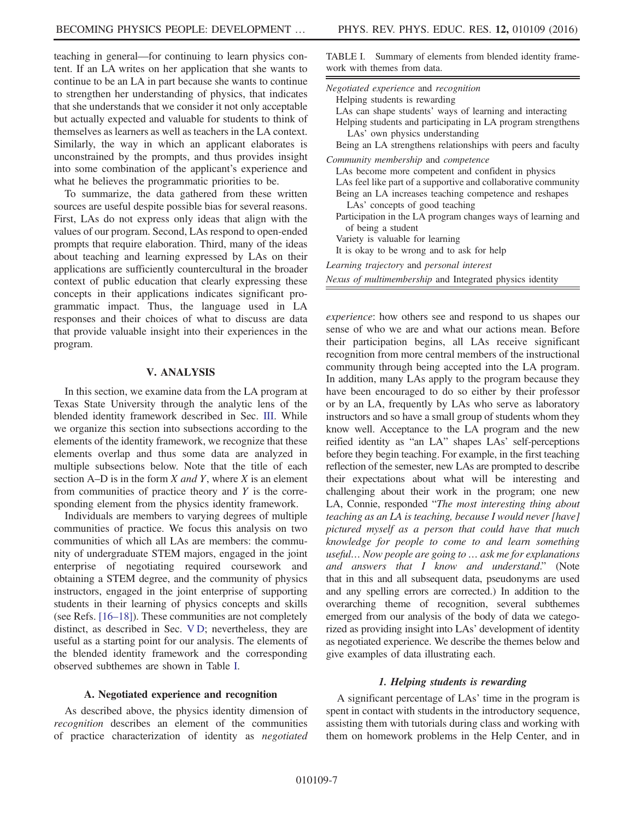teaching in general—for continuing to learn physics content. If an LA writes on her application that she wants to continue to be an LA in part because she wants to continue to strengthen her understanding of physics, that indicates that she understands that we consider it not only acceptable but actually expected and valuable for students to think of themselves as learners as well as teachers in the LA context. Similarly, the way in which an applicant elaborates is unconstrained by the prompts, and thus provides insight into some combination of the applicant's experience and what he believes the programmatic priorities to be.

To summarize, the data gathered from these written sources are useful despite possible bias for several reasons. First, LAs do not express only ideas that align with the values of our program. Second, LAs respond to open-ended prompts that require elaboration. Third, many of the ideas about teaching and learning expressed by LAs on their applications are sufficiently countercultural in the broader context of public education that clearly expressing these concepts in their applications indicates significant programmatic impact. Thus, the language used in LA responses and their choices of what to discuss are data that provide valuable insight into their experiences in the program.

# V. ANALYSIS

<span id="page-6-0"></span>In this section, we examine data from the LA program at Texas State University through the analytic lens of the blended identity framework described in Sec. [III.](#page-2-0) While we organize this section into subsections according to the elements of the identity framework, we recognize that these elements overlap and thus some data are analyzed in multiple subsections below. Note that the title of each section A–D is in the form  $X$  and  $Y$ , where  $X$  is an element from communities of practice theory and  $Y$  is the corresponding element from the physics identity framework.

Individuals are members to varying degrees of multiple communities of practice. We focus this analysis on two communities of which all LAs are members: the community of undergraduate STEM majors, engaged in the joint enterprise of negotiating required coursework and obtaining a STEM degree, and the community of physics instructors, engaged in the joint enterprise of supporting students in their learning of physics concepts and skills (see Refs. [\[16](#page-17-8)–18]). These communities are not completely distinct, as described in Sec. [V D;](#page-14-0) nevertheless, they are useful as a starting point for our analysis. The elements of the blended identity framework and the corresponding observed subthemes are shown in Table [I](#page-6-1).

# A. Negotiated experience and recognition

As described above, the physics identity dimension of recognition describes an element of the communities of practice characterization of identity as negotiated

<span id="page-6-1"></span>

| TABLE I. Summary of elements from blended identity frame- |  |  |  |
|-----------------------------------------------------------|--|--|--|
| work with themes from data.                               |  |  |  |

| Negotiated experience and recognition<br>Helping students is rewarding<br>LAs can shape students' ways of learning and interacting<br>Helping students and participating in LA program strengthens<br>LAs' own physics understanding<br>Being an LA strengthens relationships with peers and faculty                    |
|-------------------------------------------------------------------------------------------------------------------------------------------------------------------------------------------------------------------------------------------------------------------------------------------------------------------------|
| Community membership and competence<br>LAs become more competent and confident in physics<br>LAs feel like part of a supportive and collaborative community<br>Being an LA increases teaching competence and reshapes<br>LAs' concepts of good teaching<br>Participation in the LA program changes ways of learning and |
| of being a student<br>Variety is valuable for learning<br>It is okay to be wrong and to ask for help                                                                                                                                                                                                                    |
| Learning trajectory and personal interest<br>Nexus of multimembership and Integrated physics identity                                                                                                                                                                                                                   |

experience: how others see and respond to us shapes our sense of who we are and what our actions mean. Before their participation begins, all LAs receive significant recognition from more central members of the instructional community through being accepted into the LA program. In addition, many LAs apply to the program because they have been encouraged to do so either by their professor or by an LA, frequently by LAs who serve as laboratory instructors and so have a small group of students whom they know well. Acceptance to the LA program and the new reified identity as "an LA" shapes LAs' self-perceptions before they begin teaching. For example, in the first teaching reflection of the semester, new LAs are prompted to describe their expectations about what will be interesting and challenging about their work in the program; one new LA, Connie, responded "The most interesting thing about teaching as an LA is teaching, because I would never [have] pictured myself as a person that could have that much knowledge for people to come to and learn something useful… Now people are going to … ask me for explanations and answers that I know and understand." (Note that in this and all subsequent data, pseudonyms are used and any spelling errors are corrected.) In addition to the overarching theme of recognition, several subthemes emerged from our analysis of the body of data we categorized as providing insight into LAs' development of identity as negotiated experience. We describe the themes below and give examples of data illustrating each.

#### 1. Helping students is rewarding

A significant percentage of LAs' time in the program is spent in contact with students in the introductory sequence, assisting them with tutorials during class and working with them on homework problems in the Help Center, and in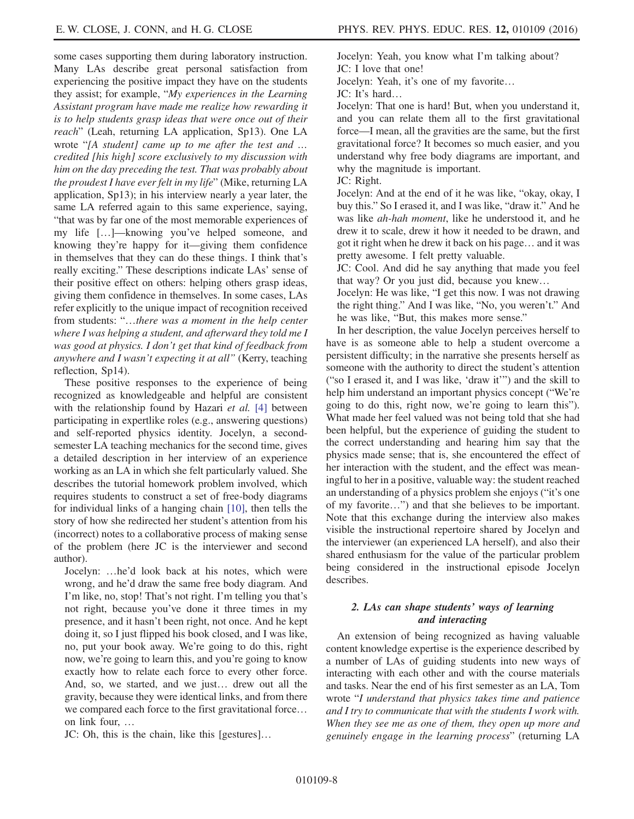some cases supporting them during laboratory instruction. Many LAs describe great personal satisfaction from experiencing the positive impact they have on the students they assist; for example, "My experiences in the Learning Assistant program have made me realize how rewarding it is to help students grasp ideas that were once out of their reach" (Leah, returning LA application, Sp13). One LA wrote "[A student] came up to me after the test and … credited [his high] score exclusively to my discussion with him on the day preceding the test. That was probably about the proudest I have ever felt in my life" (Mike, returning LA application, Sp13); in his interview nearly a year later, the same LA referred again to this same experience, saying, "that was by far one of the most memorable experiences of my life […]—knowing you've helped someone, and knowing they're happy for it—giving them confidence in themselves that they can do these things. I think that's really exciting." These descriptions indicate LAs' sense of their positive effect on others: helping others grasp ideas, giving them confidence in themselves. In some cases, LAs refer explicitly to the unique impact of recognition received from students: "…there was a moment in the help center where I was helping a student, and afterward they told me I was good at physics. I don't get that kind of feedback from anywhere and I wasn't expecting it at all" (Kerry, teaching reflection, Sp14).

These positive responses to the experience of being recognized as knowledgeable and helpful are consistent with the relationship found by Hazari et al. [\[4\]](#page-16-1) between participating in expertlike roles (e.g., answering questions) and self-reported physics identity. Jocelyn, a secondsemester LA teaching mechanics for the second time, gives a detailed description in her interview of an experience working as an LA in which she felt particularly valued. She describes the tutorial homework problem involved, which requires students to construct a set of free-body diagrams for individual links of a hanging chain [\[10\],](#page-17-3) then tells the story of how she redirected her student's attention from his (incorrect) notes to a collaborative process of making sense of the problem (here JC is the interviewer and second author).

Jocelyn: …he'd look back at his notes, which were wrong, and he'd draw the same free body diagram. And I'm like, no, stop! That's not right. I'm telling you that's not right, because you've done it three times in my presence, and it hasn't been right, not once. And he kept doing it, so I just flipped his book closed, and I was like, no, put your book away. We're going to do this, right now, we're going to learn this, and you're going to know exactly how to relate each force to every other force. And, so, we started, and we just… drew out all the gravity, because they were identical links, and from there we compared each force to the first gravitational force… on link four, …

JC: Oh, this is the chain, like this [gestures]…

Jocelyn: Yeah, you know what I'm talking about? JC: I love that one!

Jocelyn: Yeah, it's one of my favorite…

JC: It's hard…

Jocelyn: That one is hard! But, when you understand it, and you can relate them all to the first gravitational force—I mean, all the gravities are the same, but the first gravitational force? It becomes so much easier, and you understand why free body diagrams are important, and why the magnitude is important.

JC: Right.

Jocelyn: And at the end of it he was like, "okay, okay, I buy this." So I erased it, and I was like, "draw it." And he was like ah-hah moment, like he understood it, and he drew it to scale, drew it how it needed to be drawn, and got it right when he drew it back on his page… and it was pretty awesome. I felt pretty valuable.

JC: Cool. And did he say anything that made you feel that way? Or you just did, because you knew…

Jocelyn: He was like, "I get this now. I was not drawing the right thing." And I was like, "No, you weren't." And he was like, "But, this makes more sense."

In her description, the value Jocelyn perceives herself to have is as someone able to help a student overcome a persistent difficulty; in the narrative she presents herself as someone with the authority to direct the student's attention ("so I erased it, and I was like, 'draw it'") and the skill to help him understand an important physics concept ("We're going to do this, right now, we're going to learn this"). What made her feel valued was not being told that she had been helpful, but the experience of guiding the student to the correct understanding and hearing him say that the physics made sense; that is, she encountered the effect of her interaction with the student, and the effect was meaningful to her in a positive, valuable way: the student reached an understanding of a physics problem she enjoys ("it's one of my favorite…") and that she believes to be important. Note that this exchange during the interview also makes visible the instructional repertoire shared by Jocelyn and the interviewer (an experienced LA herself), and also their shared enthusiasm for the value of the particular problem being considered in the instructional episode Jocelyn describes.

# 2. LAs can shape students' ways of learning and interacting

An extension of being recognized as having valuable content knowledge expertise is the experience described by a number of LAs of guiding students into new ways of interacting with each other and with the course materials and tasks. Near the end of his first semester as an LA, Tom wrote "I understand that physics takes time and patience and I try to communicate that with the students I work with. When they see me as one of them, they open up more and genuinely engage in the learning process" (returning LA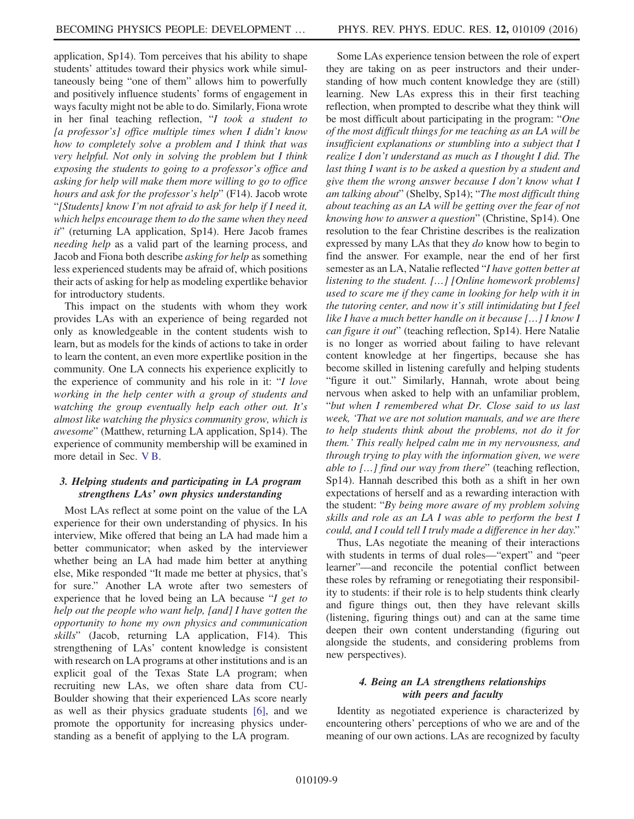application, Sp14). Tom perceives that his ability to shape students' attitudes toward their physics work while simultaneously being "one of them" allows him to powerfully and positively influence students' forms of engagement in ways faculty might not be able to do. Similarly, Fiona wrote in her final teaching reflection, "I took a student to [a professor's] office multiple times when I didn't know how to completely solve a problem and I think that was very helpful. Not only in solving the problem but I think exposing the students to going to a professor's office and asking for help will make them more willing to go to office hours and ask for the professor's help" (F14). Jacob wrote "[Students] know I'm not afraid to ask for help if I need it, which helps encourage them to do the same when they need  $it$ " (returning LA application, Sp14). Here Jacob frames needing help as a valid part of the learning process, and Jacob and Fiona both describe asking for help as something less experienced students may be afraid of, which positions their acts of asking for help as modeling expertlike behavior for introductory students.

This impact on the students with whom they work provides LAs with an experience of being regarded not only as knowledgeable in the content students wish to learn, but as models for the kinds of actions to take in order to learn the content, an even more expertlike position in the community. One LA connects his experience explicitly to the experience of community and his role in it: "I love working in the help center with a group of students and watching the group eventually help each other out. It's almost like watching the physics community grow, which is awesome" (Matthew, returning LA application, Sp14). The experience of community membership will be examined in more detail in Sec. [V B](#page-9-0).

# 3. Helping students and participating in LA program strengthens LAs' own physics understanding

Most LAs reflect at some point on the value of the LA experience for their own understanding of physics. In his interview, Mike offered that being an LA had made him a better communicator; when asked by the interviewer whether being an LA had made him better at anything else, Mike responded "It made me better at physics, that's for sure." Another LA wrote after two semesters of experience that he loved being an LA because "I get to help out the people who want help, [and] I have gotten the opportunity to hone my own physics and communication skills" (Jacob, returning LA application, F14). This strengthening of LAs' content knowledge is consistent with research on LA programs at other institutions and is an explicit goal of the Texas State LA program; when recruiting new LAs, we often share data from CU-Boulder showing that their experienced LAs score nearly as well as their physics graduate students [\[6\]](#page-17-0), and we promote the opportunity for increasing physics understanding as a benefit of applying to the LA program.

Some LAs experience tension between the role of expert they are taking on as peer instructors and their understanding of how much content knowledge they are (still) learning. New LAs express this in their first teaching reflection, when prompted to describe what they think will be most difficult about participating in the program: "One of the most difficult things for me teaching as an LA will be insufficient explanations or stumbling into a subject that I realize I don't understand as much as I thought I did. The last thing I want is to be asked a question by a student and give them the wrong answer because I don't know what I am talking about" (Shelby, Sp14); "The most difficult thing about teaching as an LA will be getting over the fear of not knowing how to answer a question" (Christine, Sp14). One resolution to the fear Christine describes is the realization expressed by many LAs that they do know how to begin to find the answer. For example, near the end of her first semester as an LA, Natalie reflected "I have gotten better at listening to the student. […] [Online homework problems] used to scare me if they came in looking for help with it in the tutoring center, and now it's still intimidating but I feel like I have a much better handle on it because […] I know I can figure it out" (teaching reflection, Sp14). Here Natalie is no longer as worried about failing to have relevant content knowledge at her fingertips, because she has become skilled in listening carefully and helping students "figure it out." Similarly, Hannah, wrote about being nervous when asked to help with an unfamiliar problem, "but when I remembered what Dr. Close said to us last week, 'That we are not solution manuals, and we are there to help students think about the problems, not do it for them.' This really helped calm me in my nervousness, and through trying to play with the information given, we were able to […] find our way from there" (teaching reflection, Sp14). Hannah described this both as a shift in her own expectations of herself and as a rewarding interaction with the student: "By being more aware of my problem solving skills and role as an LA I was able to perform the best I could, and I could tell I truly made a difference in her day."

Thus, LAs negotiate the meaning of their interactions with students in terms of dual roles—"expert" and "peer learner"—and reconcile the potential conflict between these roles by reframing or renegotiating their responsibility to students: if their role is to help students think clearly and figure things out, then they have relevant skills (listening, figuring things out) and can at the same time deepen their own content understanding (figuring out alongside the students, and considering problems from new perspectives).

# <span id="page-8-0"></span>4. Being an LA strengthens relationships with peers and faculty

Identity as negotiated experience is characterized by encountering others' perceptions of who we are and of the meaning of our own actions. LAs are recognized by faculty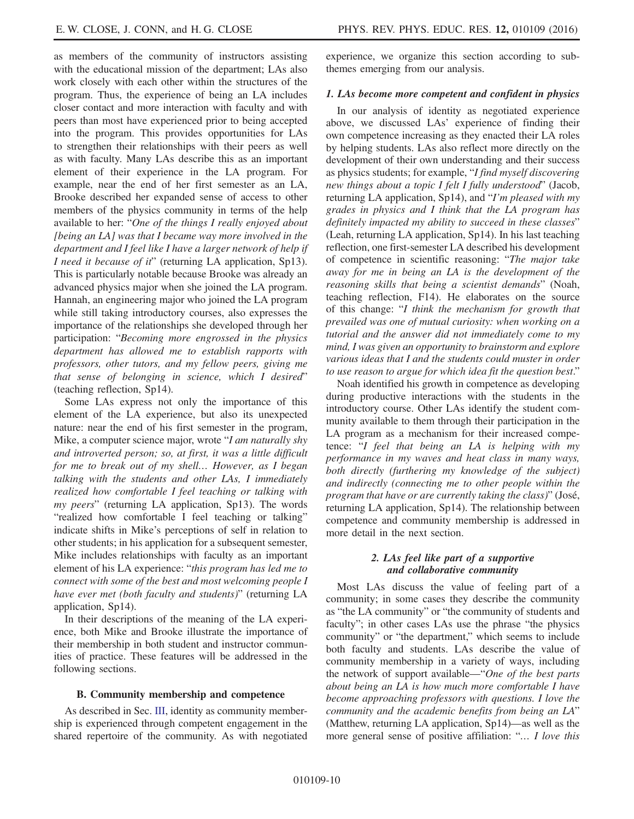as members of the community of instructors assisting with the educational mission of the department; LAs also work closely with each other within the structures of the program. Thus, the experience of being an LA includes closer contact and more interaction with faculty and with peers than most have experienced prior to being accepted into the program. This provides opportunities for LAs to strengthen their relationships with their peers as well as with faculty. Many LAs describe this as an important element of their experience in the LA program. For example, near the end of her first semester as an LA, Brooke described her expanded sense of access to other members of the physics community in terms of the help available to her: "One of the things I really enjoyed about [being an LA] was that I became way more involved in the department and I feel like I have a larger network of help if I need it because of it" (returning LA application, Sp13). This is particularly notable because Brooke was already an advanced physics major when she joined the LA program. Hannah, an engineering major who joined the LA program while still taking introductory courses, also expresses the importance of the relationships she developed through her participation: "Becoming more engrossed in the physics department has allowed me to establish rapports with professors, other tutors, and my fellow peers, giving me that sense of belonging in science, which I desired" (teaching reflection, Sp14).

Some LAs express not only the importance of this element of the LA experience, but also its unexpected nature: near the end of his first semester in the program, Mike, a computer science major, wrote "I am naturally shy and introverted person; so, at first, it was a little difficult for me to break out of my shell… However, as I began talking with the students and other LAs, I immediately realized how comfortable I feel teaching or talking with my peers" (returning LA application, Sp13). The words "realized how comfortable I feel teaching or talking" indicate shifts in Mike's perceptions of self in relation to other students; in his application for a subsequent semester, Mike includes relationships with faculty as an important element of his LA experience: "this program has led me to connect with some of the best and most welcoming people I have ever met (both faculty and students)" (returning LA application, Sp14).

In their descriptions of the meaning of the LA experience, both Mike and Brooke illustrate the importance of their membership in both student and instructor communities of practice. These features will be addressed in the following sections.

#### <span id="page-9-0"></span>B. Community membership and competence

As described in Sec. [III,](#page-2-0) identity as community membership is experienced through competent engagement in the shared repertoire of the community. As with negotiated experience, we organize this section according to subthemes emerging from our analysis.

#### 1. LAs become more competent and confident in physics

In our analysis of identity as negotiated experience above, we discussed LAs' experience of finding their own competence increasing as they enacted their LA roles by helping students. LAs also reflect more directly on the development of their own understanding and their success as physics students; for example, "I find myself discovering new things about a topic I felt I fully understood" (Jacob, returning LA application, Sp14), and "I'm pleased with my grades in physics and I think that the LA program has definitely impacted my ability to succeed in these classes" (Leah, returning LA application, Sp14). In his last teaching reflection, one first-semester LA described his development of competence in scientific reasoning: "The major take away for me in being an LA is the development of the reasoning skills that being a scientist demands" (Noah, teaching reflection, F14). He elaborates on the source of this change: "I think the mechanism for growth that prevailed was one of mutual curiosity: when working on a tutorial and the answer did not immediately come to my mind, I was given an opportunity to brainstorm and explore various ideas that I and the students could muster in order to use reason to argue for which idea fit the question best."

Noah identified his growth in competence as developing during productive interactions with the students in the introductory course. Other LAs identify the student community available to them through their participation in the LA program as a mechanism for their increased competence: "I feel that being an LA is helping with my performance in my waves and heat class in many ways, both directly (furthering my knowledge of the subject) and indirectly (connecting me to other people within the program that have or are currently taking the class)" (José, returning LA application, Sp14). The relationship between competence and community membership is addressed in more detail in the next section.

### 2. LAs feel like part of a supportive and collaborative community

<span id="page-9-1"></span>Most LAs discuss the value of feeling part of a community; in some cases they describe the community as "the LA community" or "the community of students and faculty"; in other cases LAs use the phrase "the physics community" or "the department," which seems to include both faculty and students. LAs describe the value of community membership in a variety of ways, including the network of support available—"One of the best parts about being an LA is how much more comfortable I have become approaching professors with questions. I love the community and the academic benefits from being an LA" (Matthew, returning LA application, Sp14)—as well as the more general sense of positive affiliation: "… I love this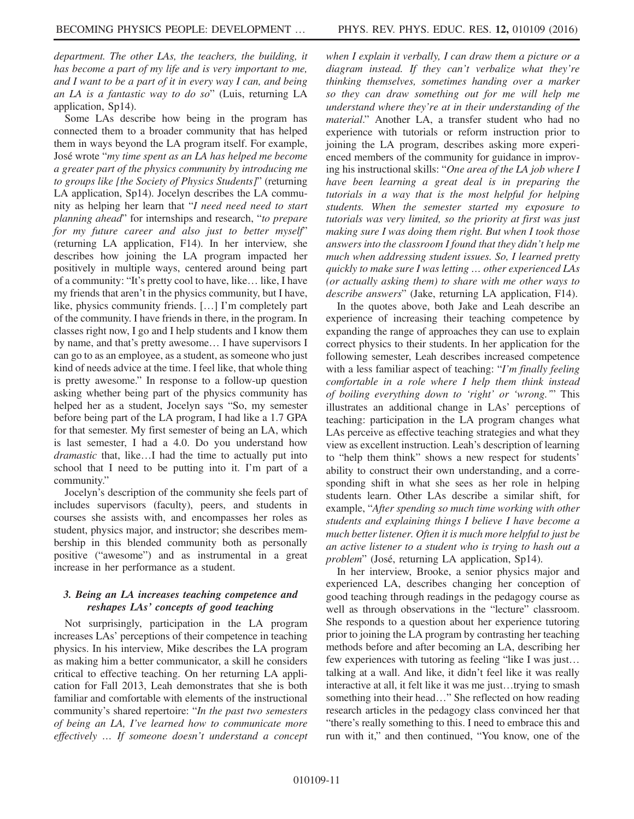department. The other LAs, the teachers, the building, it has become a part of my life and is very important to me, and I want to be a part of it in every way I can, and being an LA is a fantastic way to do so" (Luis, returning LA application, Sp14).

Some LAs describe how being in the program has connected them to a broader community that has helped them in ways beyond the LA program itself. For example, José wrote "my time spent as an LA has helped me become a greater part of the physics community by introducing me to groups like [the Society of Physics Students]" (returning LA application, Sp14). Jocelyn describes the LA community as helping her learn that "I need need need to start planning ahead" for internships and research, "to prepare for my future career and also just to better myself" (returning LA application, F14). In her interview, she describes how joining the LA program impacted her positively in multiple ways, centered around being part of a community: "It's pretty cool to have, like… like, I have my friends that aren't in the physics community, but I have, like, physics community friends. […] I'm completely part of the community. I have friends in there, in the program. In classes right now, I go and I help students and I know them by name, and that's pretty awesome… I have supervisors I can go to as an employee, as a student, as someone who just kind of needs advice at the time. I feel like, that whole thing is pretty awesome." In response to a follow-up question asking whether being part of the physics community has helped her as a student, Jocelyn says "So, my semester before being part of the LA program, I had like a 1.7 GPA for that semester. My first semester of being an LA, which is last semester, I had a 4.0. Do you understand how dramastic that, like…I had the time to actually put into school that I need to be putting into it. I'm part of a community."

Jocelyn's description of the community she feels part of includes supervisors (faculty), peers, and students in courses she assists with, and encompasses her roles as student, physics major, and instructor; she describes membership in this blended community both as personally positive ("awesome") and as instrumental in a great increase in her performance as a student.

# 3. Being an LA increases teaching competence and reshapes LAs' concepts of good teaching

Not surprisingly, participation in the LA program increases LAs' perceptions of their competence in teaching physics. In his interview, Mike describes the LA program as making him a better communicator, a skill he considers critical to effective teaching. On her returning LA application for Fall 2013, Leah demonstrates that she is both familiar and comfortable with elements of the instructional community's shared repertoire: "In the past two semesters of being an LA, I've learned how to communicate more effectively … If someone doesn't understand a concept when I explain it verbally, I can draw them a picture or a diagram instead. If they can't verbalize what they're thinking themselves, sometimes handing over a marker so they can draw something out for me will help me understand where they're at in their understanding of the material." Another LA, a transfer student who had no experience with tutorials or reform instruction prior to joining the LA program, describes asking more experienced members of the community for guidance in improving his instructional skills: "One area of the LA job where I have been learning a great deal is in preparing the tutorials in a way that is the most helpful for helping students. When the semester started my exposure to tutorials was very limited, so the priority at first was just making sure I was doing them right. But when I took those answers into the classroom I found that they didn't help me much when addressing student issues. So, I learned pretty quickly to make sure I was letting … other experienced LAs (or actually asking them) to share with me other ways to describe answers" (Jake, returning LA application, F14).

In the quotes above, both Jake and Leah describe an experience of increasing their teaching competence by expanding the range of approaches they can use to explain correct physics to their students. In her application for the following semester, Leah describes increased competence with a less familiar aspect of teaching: "I'm finally feeling comfortable in a role where I help them think instead of boiling everything down to 'right' or 'wrong.'" This illustrates an additional change in LAs' perceptions of teaching: participation in the LA program changes what LAs perceive as effective teaching strategies and what they view as excellent instruction. Leah's description of learning to "help them think" shows a new respect for students' ability to construct their own understanding, and a corresponding shift in what she sees as her role in helping students learn. Other LAs describe a similar shift, for example, "After spending so much time working with other students and explaining things I believe I have become a much better listener. Often it is much more helpful to just be an active listener to a student who is trying to hash out a problem" (José, returning LA application, Sp14).

In her interview, Brooke, a senior physics major and experienced LA, describes changing her conception of good teaching through readings in the pedagogy course as well as through observations in the "lecture" classroom. She responds to a question about her experience tutoring prior to joining the LA program by contrasting her teaching methods before and after becoming an LA, describing her few experiences with tutoring as feeling "like I was just… talking at a wall. And like, it didn't feel like it was really interactive at all, it felt like it was me just…trying to smash something into their head…" She reflected on how reading research articles in the pedagogy class convinced her that "there's really something to this. I need to embrace this and run with it," and then continued, "You know, one of the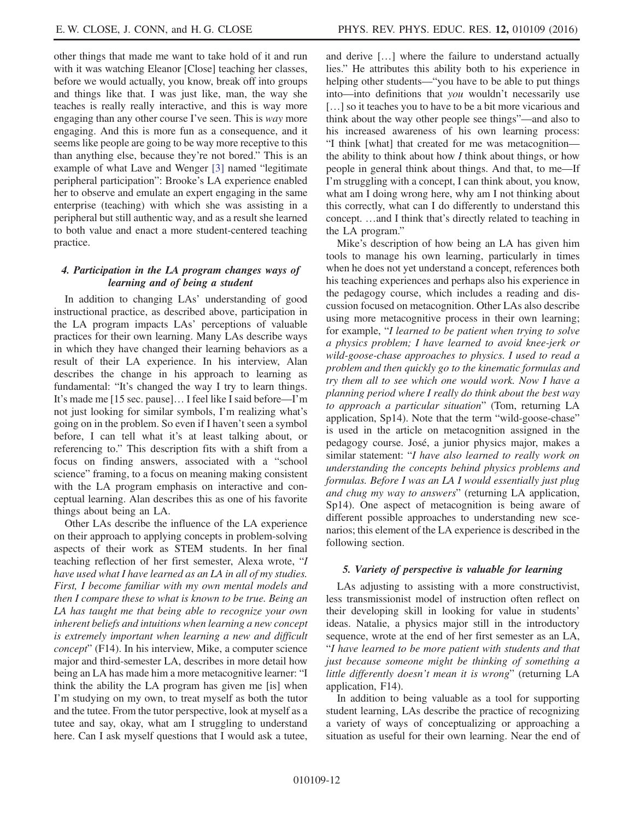other things that made me want to take hold of it and run with it was watching Eleanor [Close] teaching her classes, before we would actually, you know, break off into groups and things like that. I was just like, man, the way she teaches is really really interactive, and this is way more engaging than any other course I've seen. This is way more engaging. And this is more fun as a consequence, and it seems like people are going to be way more receptive to this than anything else, because they're not bored." This is an example of what Lave and Wenger [\[3\]](#page-16-3) named "legitimate peripheral participation": Brooke's LA experience enabled her to observe and emulate an expert engaging in the same enterprise (teaching) with which she was assisting in a peripheral but still authentic way, and as a result she learned to both value and enact a more student-centered teaching practice.

# 4. Participation in the LA program changes ways of learning and of being a student

In addition to changing LAs' understanding of good instructional practice, as described above, participation in the LA program impacts LAs' perceptions of valuable practices for their own learning. Many LAs describe ways in which they have changed their learning behaviors as a result of their LA experience. In his interview, Alan describes the change in his approach to learning as fundamental: "It's changed the way I try to learn things. It's made me [15 sec. pause]… I feel like I said before—I'm not just looking for similar symbols, I'm realizing what's going on in the problem. So even if I haven't seen a symbol before, I can tell what it's at least talking about, or referencing to." This description fits with a shift from a focus on finding answers, associated with a "school science" framing, to a focus on meaning making consistent with the LA program emphasis on interactive and conceptual learning. Alan describes this as one of his favorite things about being an LA.

Other LAs describe the influence of the LA experience on their approach to applying concepts in problem-solving aspects of their work as STEM students. In her final teaching reflection of her first semester, Alexa wrote, "I have used what I have learned as an LA in all of my studies. First, I become familiar with my own mental models and then I compare these to what is known to be true. Being an LA has taught me that being able to recognize your own inherent beliefs and intuitions when learning a new concept is extremely important when learning a new and difficult concept" (F14). In his interview, Mike, a computer science major and third-semester LA, describes in more detail how being an LA has made him a more metacognitive learner: "I think the ability the LA program has given me [is] when I'm studying on my own, to treat myself as both the tutor and the tutee. From the tutor perspective, look at myself as a tutee and say, okay, what am I struggling to understand here. Can I ask myself questions that I would ask a tutee,

and derive […] where the failure to understand actually lies." He attributes this ability both to his experience in helping other students—"you have to be able to put things into—into definitions that you wouldn't necessarily use [...] so it teaches you to have to be a bit more vicarious and think about the way other people see things"—and also to his increased awareness of his own learning process: "I think [what] that created for me was metacognition the ability to think about how  $I$  think about things, or how people in general think about things. And that, to me—If I'm struggling with a concept, I can think about, you know, what am I doing wrong here, why am I not thinking about this correctly, what can I do differently to understand this concept. …and I think that's directly related to teaching in the LA program."

Mike's description of how being an LA has given him tools to manage his own learning, particularly in times when he does not yet understand a concept, references both his teaching experiences and perhaps also his experience in the pedagogy course, which includes a reading and discussion focused on metacognition. Other LAs also describe using more metacognitive process in their own learning; for example, "I learned to be patient when trying to solve a physics problem; I have learned to avoid knee-jerk or wild-goose-chase approaches to physics. I used to read a problem and then quickly go to the kinematic formulas and try them all to see which one would work. Now I have a planning period where I really do think about the best way to approach a particular situation" (Tom, returning LA application, Sp14). Note that the term "wild-goose-chase" is used in the article on metacognition assigned in the pedagogy course. José, a junior physics major, makes a similar statement: "I have also learned to really work on understanding the concepts behind physics problems and formulas. Before I was an LA I would essentially just plug and chug my way to answers" (returning LA application, Sp14). One aspect of metacognition is being aware of different possible approaches to understanding new scenarios; this element of the LA experience is described in the following section.

### 5. Variety of perspective is valuable for learning

LAs adjusting to assisting with a more constructivist, less transmissionist model of instruction often reflect on their developing skill in looking for value in students' ideas. Natalie, a physics major still in the introductory sequence, wrote at the end of her first semester as an LA, "I have learned to be more patient with students and that just because someone might be thinking of something a little differently doesn't mean it is wrong" (returning LA application, F14).

In addition to being valuable as a tool for supporting student learning, LAs describe the practice of recognizing a variety of ways of conceptualizing or approaching a situation as useful for their own learning. Near the end of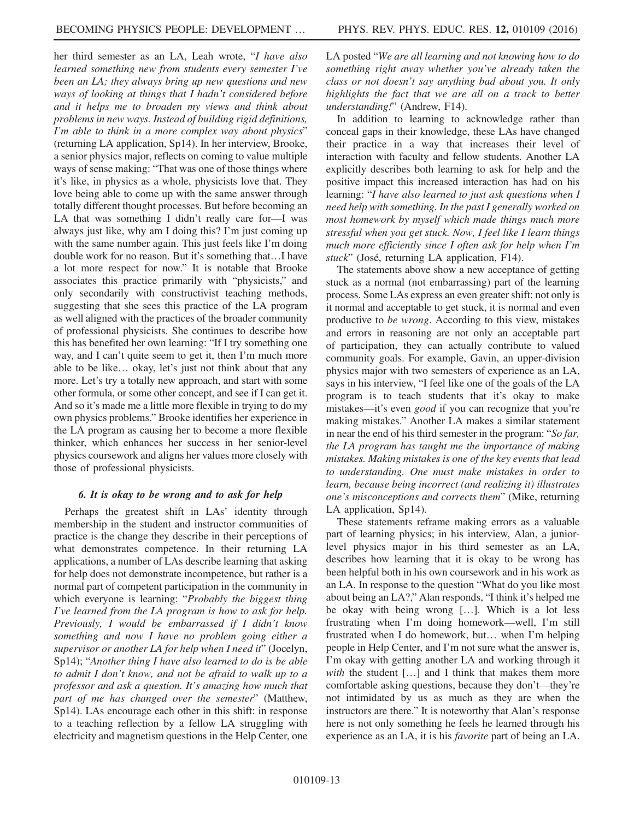her third semester as an LA, Leah wrote, "I have also learned something new from students every semester I've been an LA; they always bring up new questions and new ways of looking at things that I hadn't considered before and it helps me to broaden my views and think about problems in new ways. Instead of building rigid definitions, I'm able to think in a more complex way about physics" (returning LA application, Sp14). In her interview, Brooke, a senior physics major, reflects on coming to value multiple ways of sense making: "That was one of those things where it's like, in physics as a whole, physicists love that. They love being able to come up with the same answer through totally different thought processes. But before becoming an LA that was something I didn't really care for—I was always just like, why am I doing this? I'm just coming up with the same number again. This just feels like I'm doing double work for no reason. But it's something that…I have a lot more respect for now." It is notable that Brooke associates this practice primarily with "physicists," and only secondarily with constructivist teaching methods, suggesting that she sees this practice of the LA program as well aligned with the practices of the broader community of professional physicists. She continues to describe how this has benefited her own learning: "If I try something one way, and I can't quite seem to get it, then I'm much more able to be like… okay, let's just not think about that any more. Let's try a totally new approach, and start with some other formula, or some other concept, and see if I can get it. And so it's made me a little more flexible in trying to do my own physics problems." Brooke identifies her experience in the LA program as causing her to become a more flexible thinker, which enhances her success in her senior-level physics coursework and aligns her values more closely with those of professional physicists.

### <span id="page-12-0"></span>6. It is okay to be wrong and to ask for help

Perhaps the greatest shift in LAs' identity through membership in the student and instructor communities of practice is the change they describe in their perceptions of what demonstrates competence. In their returning LA applications, a number of LAs describe learning that asking for help does not demonstrate incompetence, but rather is a normal part of competent participation in the community in which everyone is learning: "Probably the biggest thing I've learned from the LA program is how to ask for help. Previously, I would be embarrassed if I didn't know something and now I have no problem going either a supervisor or another LA for help when I need it" (Jocelyn, Sp14); "Another thing I have also learned to do is be able to admit I don't know, and not be afraid to walk up to a professor and ask a question. It's amazing how much that part of me has changed over the semester" (Matthew, Sp14). LAs encourage each other in this shift: in response to a teaching reflection by a fellow LA struggling with electricity and magnetism questions in the Help Center, one

LA posted "We are all learning and not knowing how to do something right away whether you've already taken the class or not doesn't say anything bad about you. It only highlights the fact that we are all on a track to better understanding!" (Andrew, F14).

In addition to learning to acknowledge rather than conceal gaps in their knowledge, these LAs have changed their practice in a way that increases their level of interaction with faculty and fellow students. Another LA explicitly describes both learning to ask for help and the positive impact this increased interaction has had on his learning: "I have also learned to just ask questions when I need help with something. In the past I generally worked on most homework by myself which made things much more stressful when you get stuck. Now, I feel like I learn things much more efficiently since I often ask for help when I'm stuck" (José, returning LA application, F14).

The statements above show a new acceptance of getting stuck as a normal (not embarrassing) part of the learning process. Some LAs express an even greater shift: not only is it normal and acceptable to get stuck, it is normal and even productive to be wrong. According to this view, mistakes and errors in reasoning are not only an acceptable part of participation, they can actually contribute to valued community goals. For example, Gavin, an upper-division physics major with two semesters of experience as an LA, says in his interview, "I feel like one of the goals of the LA program is to teach students that it's okay to make mistakes—it's even good if you can recognize that you're making mistakes." Another LA makes a similar statement in near the end of his third semester in the program: "So far, the LA program has taught me the importance of making mistakes. Making mistakes is one of the key events that lead to understanding. One must make mistakes in order to learn, because being incorrect (and realizing it) illustrates one's misconceptions and corrects them" (Mike, returning LA application, Sp14).

These statements reframe making errors as a valuable part of learning physics; in his interview, Alan, a juniorlevel physics major in his third semester as an LA, describes how learning that it is okay to be wrong has been helpful both in his own coursework and in his work as an LA. In response to the question "What do you like most about being an LA?," Alan responds, "I think it's helped me be okay with being wrong […]. Which is a lot less frustrating when I'm doing homework—well, I'm still frustrated when I do homework, but… when I'm helping people in Help Center, and I'm not sure what the answer is, I'm okay with getting another LA and working through it with the student [...] and I think that makes them more comfortable asking questions, because they don't—they're not intimidated by us as much as they are when the instructors are there." It is noteworthy that Alan's response here is not only something he feels he learned through his experience as an LA, it is his favorite part of being an LA.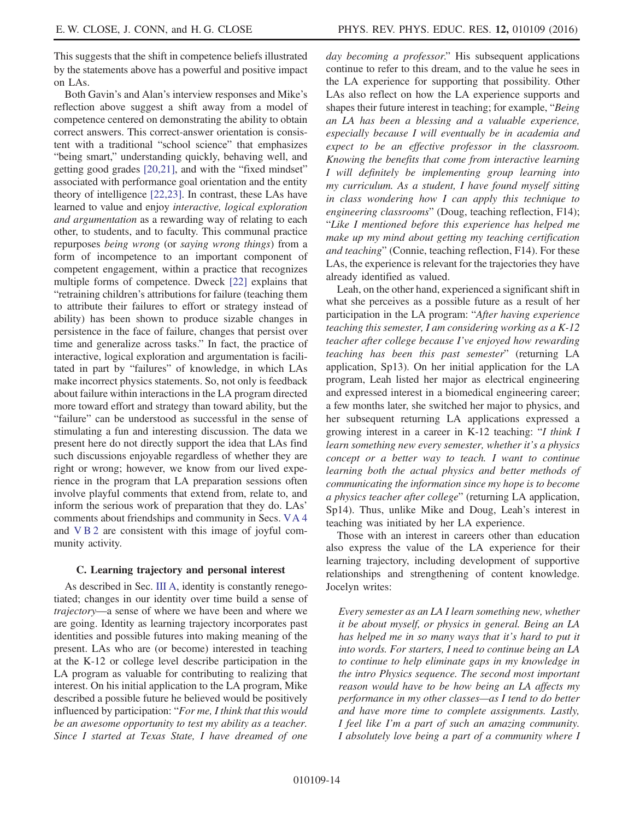This suggests that the shift in competence beliefs illustrated by the statements above has a powerful and positive impact on LAs.

Both Gavin's and Alan's interview responses and Mike's reflection above suggest a shift away from a model of competence centered on demonstrating the ability to obtain correct answers. This correct-answer orientation is consistent with a traditional "school science" that emphasizes "being smart," understanding quickly, behaving well, and getting good grades [\[20,21\],](#page-17-10) and with the "fixed mindset" associated with performance goal orientation and the entity theory of intelligence [\[22,23\]](#page-17-11). In contrast, these LAs have learned to value and enjoy interactive, logical exploration and argumentation as a rewarding way of relating to each other, to students, and to faculty. This communal practice repurposes being wrong (or saying wrong things) from a form of incompetence to an important component of competent engagement, within a practice that recognizes multiple forms of competence. Dweck [\[22\]](#page-17-11) explains that "retraining children's attributions for failure (teaching them to attribute their failures to effort or strategy instead of ability) has been shown to produce sizable changes in persistence in the face of failure, changes that persist over time and generalize across tasks." In fact, the practice of interactive, logical exploration and argumentation is facilitated in part by "failures" of knowledge, in which LAs make incorrect physics statements. So, not only is feedback about failure within interactions in the LA program directed more toward effort and strategy than toward ability, but the "failure" can be understood as successful in the sense of stimulating a fun and interesting discussion. The data we present here do not directly support the idea that LAs find such discussions enjoyable regardless of whether they are right or wrong; however, we know from our lived experience in the program that LA preparation sessions often involve playful comments that extend from, relate to, and inform the serious work of preparation that they do. LAs' comments about friendships and community in Secs. [VA 4](#page-8-0) and [VB2](#page-9-1) are consistent with this image of joyful community activity.

#### C. Learning trajectory and personal interest

As described in Sec. [III A](#page-2-1), identity is constantly renegotiated; changes in our identity over time build a sense of trajectory—a sense of where we have been and where we are going. Identity as learning trajectory incorporates past identities and possible futures into making meaning of the present. LAs who are (or become) interested in teaching at the K-12 or college level describe participation in the LA program as valuable for contributing to realizing that interest. On his initial application to the LA program, Mike described a possible future he believed would be positively influenced by participation: "For me, I think that this would be an awesome opportunity to test my ability as a teacher. Since I started at Texas State, I have dreamed of one

day becoming a professor." His subsequent applications continue to refer to this dream, and to the value he sees in the LA experience for supporting that possibility. Other LAs also reflect on how the LA experience supports and shapes their future interest in teaching; for example, "Being an LA has been a blessing and a valuable experience, especially because I will eventually be in academia and expect to be an effective professor in the classroom. Knowing the benefits that come from interactive learning I will definitely be implementing group learning into my curriculum. As a student, I have found myself sitting in class wondering how I can apply this technique to engineering classrooms" (Doug, teaching reflection, F14); "Like I mentioned before this experience has helped me make up my mind about getting my teaching certification and teaching" (Connie, teaching reflection, F14). For these LAs, the experience is relevant for the trajectories they have already identified as valued.

Leah, on the other hand, experienced a significant shift in what she perceives as a possible future as a result of her participation in the LA program: "After having experience teaching this semester, I am considering working as a K-12 teacher after college because I've enjoyed how rewarding teaching has been this past semester" (returning LA application, Sp13). On her initial application for the LA program, Leah listed her major as electrical engineering and expressed interest in a biomedical engineering career; a few months later, she switched her major to physics, and her subsequent returning LA applications expressed a growing interest in a career in K-12 teaching: "I think I learn something new every semester, whether it's a physics concept or a better way to teach. I want to continue learning both the actual physics and better methods of communicating the information since my hope is to become a physics teacher after college" (returning LA application, Sp14). Thus, unlike Mike and Doug, Leah's interest in teaching was initiated by her LA experience.

Those with an interest in careers other than education also express the value of the LA experience for their learning trajectory, including development of supportive relationships and strengthening of content knowledge. Jocelyn writes:

Every semester as an LA I learn something new, whether it be about myself, or physics in general. Being an LA has helped me in so many ways that it's hard to put it into words. For starters, I need to continue being an LA to continue to help eliminate gaps in my knowledge in the intro Physics sequence. The second most important reason would have to be how being an LA affects my performance in my other classes—as I tend to do better and have more time to complete assignments. Lastly, I feel like I'm a part of such an amazing community. I absolutely love being a part of a community where I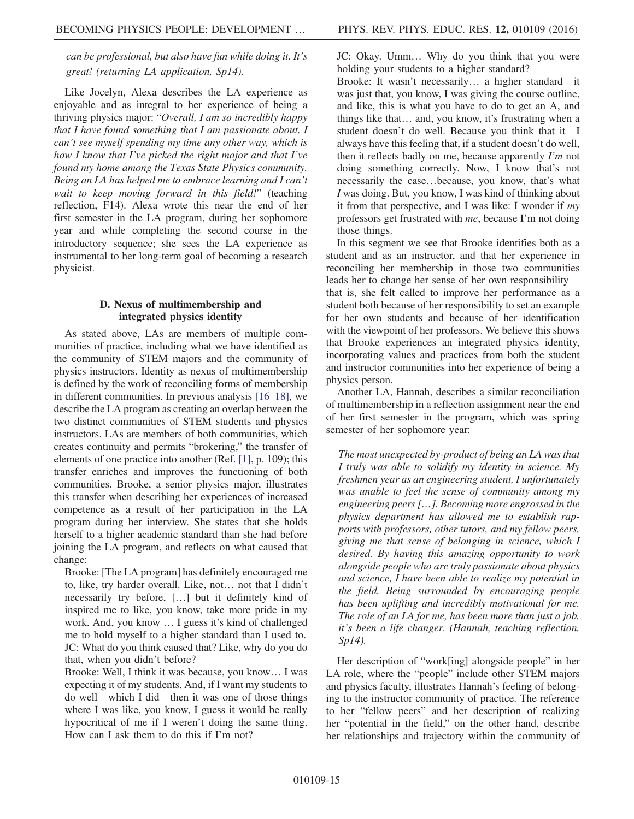can be professional, but also have fun while doing it. It's great! (returning LA application, Sp14).

Like Jocelyn, Alexa describes the LA experience as enjoyable and as integral to her experience of being a thriving physics major: "Overall, I am so incredibly happy that I have found something that I am passionate about. I can't see myself spending my time any other way, which is how I know that I've picked the right major and that I've found my home among the Texas State Physics community. Being an LA has helped me to embrace learning and I can't wait to keep moving forward in this field!" (teaching reflection, F14). Alexa wrote this near the end of her first semester in the LA program, during her sophomore year and while completing the second course in the introductory sequence; she sees the LA experience as instrumental to her long-term goal of becoming a research physicist.

# D. Nexus of multimembership and integrated physics identity

<span id="page-14-0"></span>As stated above, LAs are members of multiple communities of practice, including what we have identified as the community of STEM majors and the community of physics instructors. Identity as nexus of multimembership is defined by the work of reconciling forms of membership in different communities. In previous analysis [\[16](#page-17-8)–18], we describe the LA program as creating an overlap between the two distinct communities of STEM students and physics instructors. LAs are members of both communities, which creates continuity and permits "brokering," the transfer of elements of one practice into another (Ref. [\[1\]](#page-16-0), p. 109); this transfer enriches and improves the functioning of both communities. Brooke, a senior physics major, illustrates this transfer when describing her experiences of increased competence as a result of her participation in the LA program during her interview. She states that she holds herself to a higher academic standard than she had before joining the LA program, and reflects on what caused that change:

Brooke: [The LA program] has definitely encouraged me to, like, try harder overall. Like, not… not that I didn't necessarily try before, […] but it definitely kind of inspired me to like, you know, take more pride in my work. And, you know … I guess it's kind of challenged me to hold myself to a higher standard than I used to. JC: What do you think caused that? Like, why do you do that, when you didn't before?

Brooke: Well, I think it was because, you know… I was expecting it of my students. And, if I want my students to do well—which I did—then it was one of those things where I was like, you know, I guess it would be really hypocritical of me if I weren't doing the same thing. How can I ask them to do this if I'm not?

JC: Okay. Umm… Why do you think that you were holding your students to a higher standard?

Brooke: It wasn't necessarily… a higher standard—it was just that, you know, I was giving the course outline, and like, this is what you have to do to get an A, and things like that… and, you know, it's frustrating when a student doesn't do well. Because you think that it—I always have this feeling that, if a student doesn't do well, then it reflects badly on me, because apparently  $\lim_{m \to \infty}$ doing something correctly. Now, I know that's not necessarily the case…because, you know, that's what I was doing. But, you know, I was kind of thinking about it from that perspective, and I was like: I wonder if  $my$ professors get frustrated with me, because I'm not doing those things.

In this segment we see that Brooke identifies both as a student and as an instructor, and that her experience in reconciling her membership in those two communities leads her to change her sense of her own responsibility that is, she felt called to improve her performance as a student both because of her responsibility to set an example for her own students and because of her identification with the viewpoint of her professors. We believe this shows that Brooke experiences an integrated physics identity, incorporating values and practices from both the student and instructor communities into her experience of being a physics person.

Another LA, Hannah, describes a similar reconciliation of multimembership in a reflection assignment near the end of her first semester in the program, which was spring semester of her sophomore year:

The most unexpected by-product of being an LA was that I truly was able to solidify my identity in science. My freshmen year as an engineering student, I unfortunately was unable to feel the sense of community among my engineering peers […]. Becoming more engrossed in the physics department has allowed me to establish rapports with professors, other tutors, and my fellow peers, giving me that sense of belonging in science, which I desired. By having this amazing opportunity to work alongside people who are truly passionate about physics and science, I have been able to realize my potential in the field. Being surrounded by encouraging people has been uplifting and incredibly motivational for me. The role of an LA for me, has been more than just a job, it's been a life changer. (Hannah, teaching reflection, Sp14).

Her description of "work[ing] alongside people" in her LA role, where the "people" include other STEM majors and physics faculty, illustrates Hannah's feeling of belonging to the instructor community of practice. The reference to her "fellow peers" and her description of realizing her "potential in the field," on the other hand, describe her relationships and trajectory within the community of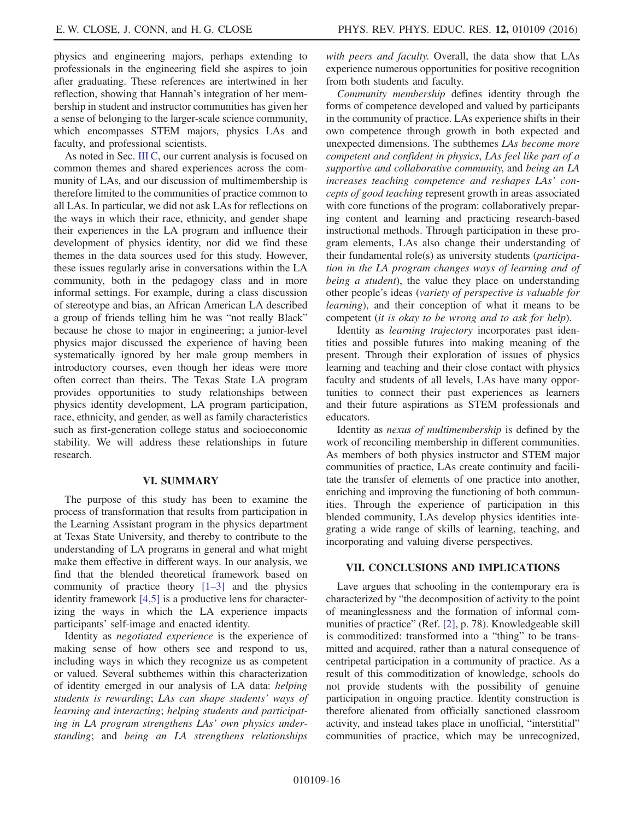physics and engineering majors, perhaps extending to professionals in the engineering field she aspires to join after graduating. These references are intertwined in her reflection, showing that Hannah's integration of her membership in student and instructor communities has given her a sense of belonging to the larger-scale science community, which encompasses STEM majors, physics LAs and faculty, and professional scientists.

As noted in Sec. [III C,](#page-3-0) our current analysis is focused on common themes and shared experiences across the community of LAs, and our discussion of multimembership is therefore limited to the communities of practice common to all LAs. In particular, we did not ask LAs for reflections on the ways in which their race, ethnicity, and gender shape their experiences in the LA program and influence their development of physics identity, nor did we find these themes in the data sources used for this study. However, these issues regularly arise in conversations within the LA community, both in the pedagogy class and in more informal settings. For example, during a class discussion of stereotype and bias, an African American LA described a group of friends telling him he was "not really Black" because he chose to major in engineering; a junior-level physics major discussed the experience of having been systematically ignored by her male group members in introductory courses, even though her ideas were more often correct than theirs. The Texas State LA program provides opportunities to study relationships between physics identity development, LA program participation, race, ethnicity, and gender, as well as family characteristics such as first-generation college status and socioeconomic stability. We will address these relationships in future research.

# VI. SUMMARY

The purpose of this study has been to examine the process of transformation that results from participation in the Learning Assistant program in the physics department at Texas State University, and thereby to contribute to the understanding of LA programs in general and what might make them effective in different ways. In our analysis, we find that the blended theoretical framework based on community of practice theory  $[1-3]$  $[1-3]$  and the physics identity framework [\[4,5\]](#page-16-1) is a productive lens for characterizing the ways in which the LA experience impacts participants' self-image and enacted identity.

Identity as negotiated experience is the experience of making sense of how others see and respond to us, including ways in which they recognize us as competent or valued. Several subthemes within this characterization of identity emerged in our analysis of LA data: helping students is rewarding; LAs can shape students' ways of learning and interacting; helping students and participating in LA program strengthens LAs' own physics understanding; and being an LA strengthens relationships

with peers and faculty. Overall, the data show that LAs experience numerous opportunities for positive recognition from both students and faculty.

Community membership defines identity through the forms of competence developed and valued by participants in the community of practice. LAs experience shifts in their own competence through growth in both expected and unexpected dimensions. The subthemes LAs become more competent and confident in physics, LAs feel like part of a supportive and collaborative community, and being an LA increases teaching competence and reshapes LAs' concepts of good teaching represent growth in areas associated with core functions of the program: collaboratively preparing content and learning and practicing research-based instructional methods. Through participation in these program elements, LAs also change their understanding of their fundamental role(s) as university students (participation in the LA program changes ways of learning and of being a student), the value they place on understanding other people's ideas (variety of perspective is valuable for learning), and their conception of what it means to be competent (it is okay to be wrong and to ask for help).

Identity as *learning trajectory* incorporates past identities and possible futures into making meaning of the present. Through their exploration of issues of physics learning and teaching and their close contact with physics faculty and students of all levels, LAs have many opportunities to connect their past experiences as learners and their future aspirations as STEM professionals and educators.

Identity as nexus of multimembership is defined by the work of reconciling membership in different communities. As members of both physics instructor and STEM major communities of practice, LAs create continuity and facilitate the transfer of elements of one practice into another, enriching and improving the functioning of both communities. Through the experience of participation in this blended community, LAs develop physics identities integrating a wide range of skills of learning, teaching, and incorporating and valuing diverse perspectives.

#### VII. CONCLUSIONS AND IMPLICATIONS

Lave argues that schooling in the contemporary era is characterized by "the decomposition of activity to the point of meaninglessness and the formation of informal communities of practice" (Ref. [\[2\],](#page-16-2) p. 78). Knowledgeable skill is commoditized: transformed into a "thing" to be transmitted and acquired, rather than a natural consequence of centripetal participation in a community of practice. As a result of this commoditization of knowledge, schools do not provide students with the possibility of genuine participation in ongoing practice. Identity construction is therefore alienated from officially sanctioned classroom activity, and instead takes place in unofficial, "interstitial" communities of practice, which may be unrecognized,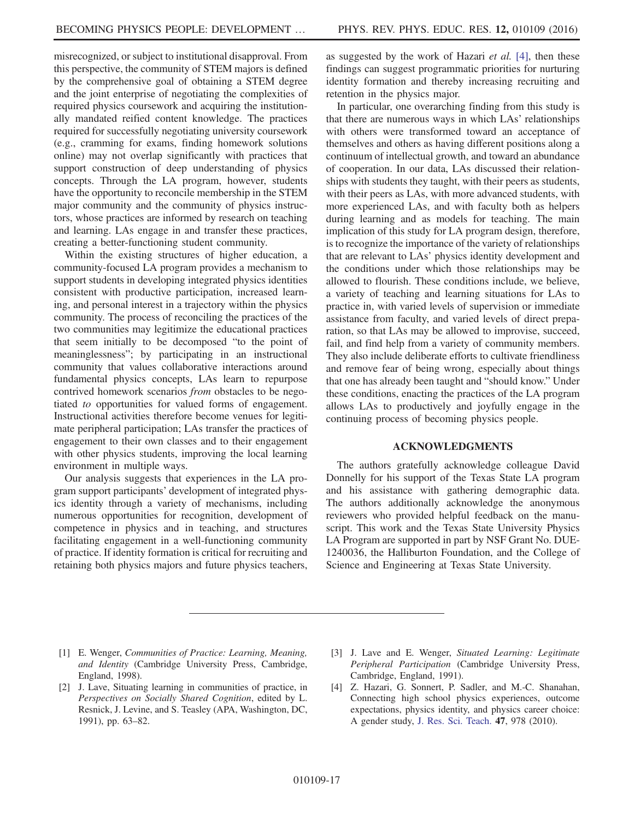misrecognized, or subject to institutional disapproval. From this perspective, the community of STEM majors is defined by the comprehensive goal of obtaining a STEM degree and the joint enterprise of negotiating the complexities of required physics coursework and acquiring the institutionally mandated reified content knowledge. The practices required for successfully negotiating university coursework (e.g., cramming for exams, finding homework solutions online) may not overlap significantly with practices that support construction of deep understanding of physics concepts. Through the LA program, however, students have the opportunity to reconcile membership in the STEM major community and the community of physics instructors, whose practices are informed by research on teaching and learning. LAs engage in and transfer these practices, creating a better-functioning student community.

Within the existing structures of higher education, a community-focused LA program provides a mechanism to support students in developing integrated physics identities consistent with productive participation, increased learning, and personal interest in a trajectory within the physics community. The process of reconciling the practices of the two communities may legitimize the educational practices that seem initially to be decomposed "to the point of meaninglessness"; by participating in an instructional community that values collaborative interactions around fundamental physics concepts, LAs learn to repurpose contrived homework scenarios from obstacles to be negotiated to opportunities for valued forms of engagement. Instructional activities therefore become venues for legitimate peripheral participation; LAs transfer the practices of engagement to their own classes and to their engagement with other physics students, improving the local learning environment in multiple ways.

Our analysis suggests that experiences in the LA program support participants' development of integrated physics identity through a variety of mechanisms, including numerous opportunities for recognition, development of competence in physics and in teaching, and structures facilitating engagement in a well-functioning community of practice. If identity formation is critical for recruiting and retaining both physics majors and future physics teachers, as suggested by the work of Hazari *et al.* [\[4\]](#page-16-1), then these findings can suggest programmatic priorities for nurturing identity formation and thereby increasing recruiting and retention in the physics major.

In particular, one overarching finding from this study is that there are numerous ways in which LAs' relationships with others were transformed toward an acceptance of themselves and others as having different positions along a continuum of intellectual growth, and toward an abundance of cooperation. In our data, LAs discussed their relationships with students they taught, with their peers as students, with their peers as LAs, with more advanced students, with more experienced LAs, and with faculty both as helpers during learning and as models for teaching. The main implication of this study for LA program design, therefore, is to recognize the importance of the variety of relationships that are relevant to LAs' physics identity development and the conditions under which those relationships may be allowed to flourish. These conditions include, we believe, a variety of teaching and learning situations for LAs to practice in, with varied levels of supervision or immediate assistance from faculty, and varied levels of direct preparation, so that LAs may be allowed to improvise, succeed, fail, and find help from a variety of community members. They also include deliberate efforts to cultivate friendliness and remove fear of being wrong, especially about things that one has already been taught and "should know." Under these conditions, enacting the practices of the LA program allows LAs to productively and joyfully engage in the continuing process of becoming physics people.

#### ACKNOWLEDGMENTS

The authors gratefully acknowledge colleague David Donnelly for his support of the Texas State LA program and his assistance with gathering demographic data. The authors additionally acknowledge the anonymous reviewers who provided helpful feedback on the manuscript. This work and the Texas State University Physics LA Program are supported in part by NSF Grant No. DUE-1240036, the Halliburton Foundation, and the College of Science and Engineering at Texas State University.

- <span id="page-16-0"></span>[1] E. Wenger, Communities of Practice: Learning, Meaning, and Identity (Cambridge University Press, Cambridge, England, 1998).
- <span id="page-16-2"></span>[2] J. Lave, Situating learning in communities of practice, in Perspectives on Socially Shared Cognition, edited by L. Resnick, J. Levine, and S. Teasley (APA, Washington, DC, 1991), pp. 63–82.
- <span id="page-16-3"></span>[3] J. Lave and E. Wenger, Situated Learning: Legitimate Peripheral Participation (Cambridge University Press, Cambridge, England, 1991).
- <span id="page-16-1"></span>[4] Z. Hazari, G. Sonnert, P. Sadler, and M.-C. Shanahan, Connecting high school physics experiences, outcome expectations, physics identity, and physics career choice: A gender study, [J. Res. Sci. Teach.](http://dx.doi.org/10.1002/tea.20363) 47, 978 (2010).